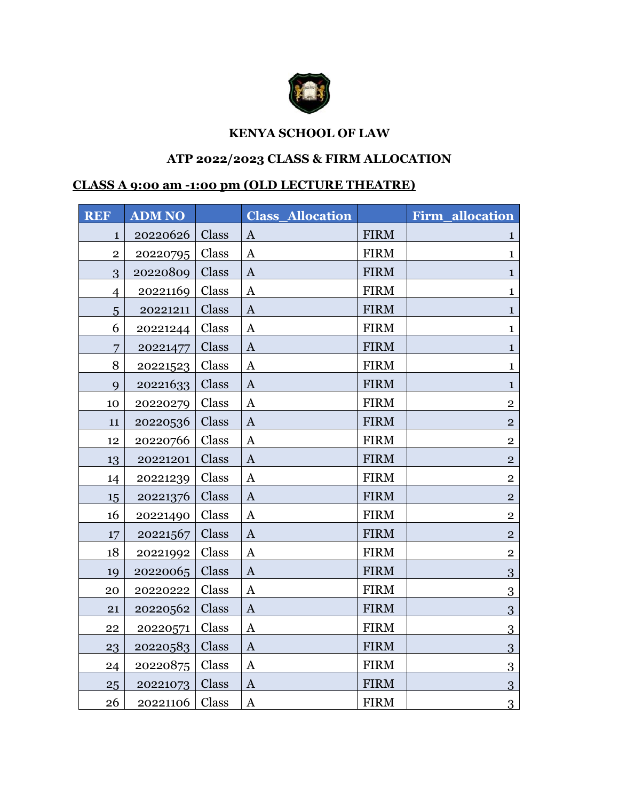

## **KENYA SCHOOL OF LAW**

## **ATP 2022/2023 CLASS & FIRM ALLOCATION**

## **CLASS A 9:00 am -1:00 pm (OLD LECTURE THEATRE)**

| <b>REF</b>     | <b>ADM NO</b> |       | <b>Class Allocation</b> |             | <b>Firm allocation</b> |
|----------------|---------------|-------|-------------------------|-------------|------------------------|
| $\mathbf 1$    | 20220626      | Class | $\mathbf{A}$            | <b>FIRM</b> | 1                      |
| $\overline{2}$ | 20220795      | Class | $\mathbf{A}$            | <b>FIRM</b> | $\mathbf{1}$           |
| 3              | 20220809      | Class | $\mathbf{A}$            | <b>FIRM</b> | $\mathbf{1}$           |
| $\overline{4}$ | 20221169      | Class | $\mathbf{A}$            | <b>FIRM</b> | $\mathbf{1}$           |
| 5              | 20221211      | Class | $\bf{A}$                | <b>FIRM</b> | 1                      |
| 6              | 20221244      | Class | $\mathbf{A}$            | <b>FIRM</b> | $\mathbf{1}$           |
| 7              | 20221477      | Class | $\mathbf{A}$            | <b>FIRM</b> | $\mathbf{1}$           |
| 8              | 20221523      | Class | $\mathbf{A}$            | <b>FIRM</b> | $\mathbf{1}$           |
| 9              | 20221633      | Class | $\mathbf{A}$            | <b>FIRM</b> | $\mathbf 1$            |
| 10             | 20220279      | Class | $\mathbf{A}$            | <b>FIRM</b> | $\overline{2}$         |
| 11             | 20220536      | Class | $\mathbf{A}$            | <b>FIRM</b> | $\overline{2}$         |
| 12             | 20220766      | Class | $\mathbf{A}$            | <b>FIRM</b> | $\overline{2}$         |
| 13             | 20221201      | Class | $\mathbf{A}$            | <b>FIRM</b> | $\overline{2}$         |
| 14             | 20221239      | Class | $\mathbf{A}$            | <b>FIRM</b> | $\overline{2}$         |
| 15             | 20221376      | Class | $\mathbf{A}$            | <b>FIRM</b> | $\overline{2}$         |
| 16             | 20221490      | Class | $\mathbf{A}$            | <b>FIRM</b> | $\mathbf{2}$           |
| 17             | 20221567      | Class | $\mathbf{A}$            | <b>FIRM</b> | $\overline{2}$         |
| 18             | 20221992      | Class | $\mathbf{A}$            | <b>FIRM</b> | $\overline{2}$         |
| 19             | 20220065      | Class | $\mathbf{A}$            | <b>FIRM</b> | 3                      |
| 20             | 20220222      | Class | $\mathbf{A}$            | <b>FIRM</b> | 3                      |
| 21             | 20220562      | Class | $\mathbf{A}$            | <b>FIRM</b> | 3                      |
| 22             | 20220571      | Class | $\mathbf{A}$            | <b>FIRM</b> | 3                      |
| 23             | 20220583      | Class | $\bf{A}$                | <b>FIRM</b> | 3                      |
| 24             | 20220875      | Class | $\mathbf{A}$            | <b>FIRM</b> | 3                      |
| 25             | 20221073      | Class | $\mathbf{A}$            | <b>FIRM</b> | 3                      |
| 26             | 20221106      | Class | $\mathbf{A}$            | <b>FIRM</b> | $\overline{3}$         |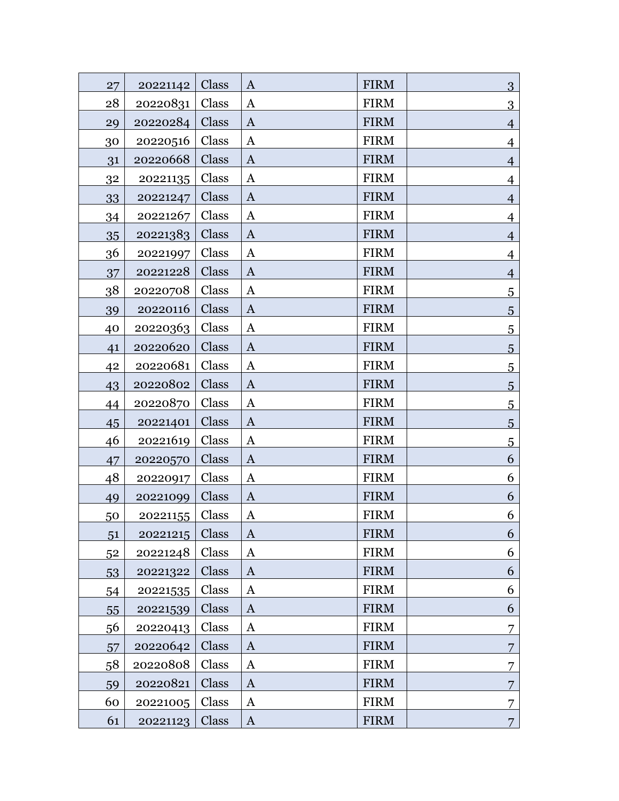| 27 | 20221142 | Class | $\bf{A}$     | <b>FIRM</b> | 3              |
|----|----------|-------|--------------|-------------|----------------|
| 28 | 20220831 | Class | A            | <b>FIRM</b> | $\overline{3}$ |
| 29 | 20220284 | Class | $\bf{A}$     | <b>FIRM</b> | $\overline{4}$ |
| 30 | 20220516 | Class | A            | <b>FIRM</b> | 4              |
| 31 | 20220668 | Class | A            | <b>FIRM</b> | $\overline{4}$ |
| 32 | 20221135 | Class | A            | <b>FIRM</b> | $\overline{4}$ |
| 33 | 20221247 | Class | $\mathbf{A}$ | <b>FIRM</b> | $\overline{4}$ |
| 34 | 20221267 | Class | $\mathbf{A}$ | <b>FIRM</b> | $\overline{4}$ |
| 35 | 20221383 | Class | $\bf{A}$     | <b>FIRM</b> | $\overline{4}$ |
| 36 | 20221997 | Class | $\mathbf{A}$ | <b>FIRM</b> | 4              |
| 37 | 20221228 | Class | $\bf{A}$     | <b>FIRM</b> | $\overline{4}$ |
| 38 | 20220708 | Class | $\mathbf{A}$ | <b>FIRM</b> | $\overline{5}$ |
| 39 | 20220116 | Class | $\bf{A}$     | <b>FIRM</b> | 5              |
| 40 | 20220363 | Class | $\bf{A}$     | <b>FIRM</b> | $\overline{5}$ |
| 41 | 20220620 | Class | $\bf{A}$     | <b>FIRM</b> | $\overline{5}$ |
| 42 | 20220681 | Class | A            | <b>FIRM</b> | $\overline{5}$ |
| 43 | 20220802 | Class | $\bf{A}$     | <b>FIRM</b> | 5              |
| 44 | 20220870 | Class | A            | <b>FIRM</b> | $\overline{5}$ |
| 45 | 20221401 | Class | $\bf{A}$     | <b>FIRM</b> | 5              |
| 46 | 20221619 | Class | $\mathbf{A}$ | <b>FIRM</b> | $\overline{5}$ |
| 47 | 20220570 | Class | $\bf{A}$     | <b>FIRM</b> | 6              |
| 48 | 20220917 | Class | A            | <b>FIRM</b> | 6              |
| 49 | 20221099 | Class | $\mathbf{A}$ | <b>FIRM</b> | 6              |
| 50 | 20221155 | Class | $\mathbf{A}$ | <b>FIRM</b> | 6              |
| 51 | 20221215 | Class | $\bf{A}$     | <b>FIRM</b> | 6              |
| 52 | 20221248 | Class | A            | <b>FIRM</b> | 6              |
| 53 | 20221322 | Class | $\bf{A}$     | <b>FIRM</b> | 6              |
| 54 | 20221535 | Class | A            | <b>FIRM</b> | 6              |
| 55 | 20221539 | Class | $\bf{A}$     | <b>FIRM</b> | 6              |
| 56 | 20220413 | Class | A            | <b>FIRM</b> | 7              |
| 57 | 20220642 | Class | $\bf{A}$     | <b>FIRM</b> | 7              |
| 58 | 20220808 | Class | $\mathbf{A}$ | <b>FIRM</b> | 7              |
| 59 | 20220821 | Class | $\bf{A}$     | <b>FIRM</b> | 7              |
| 60 | 20221005 | Class | $\mathbf{A}$ | <b>FIRM</b> |                |
| 61 | 20221123 | Class | $\bf{A}$     | <b>FIRM</b> | $\overline{7}$ |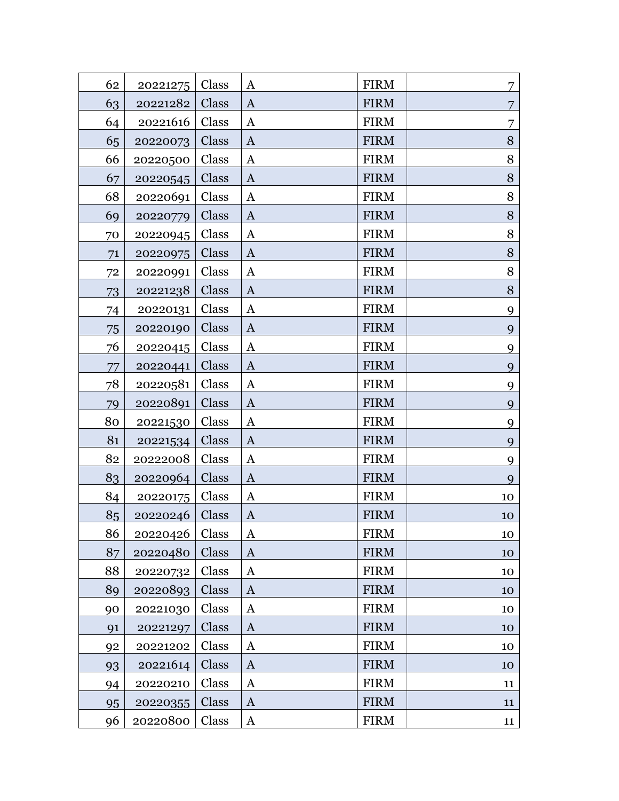| 62 | 20221275 | Class | $\mathbf{A}$ | <b>FIRM</b> | 7              |
|----|----------|-------|--------------|-------------|----------------|
| 63 | 20221282 | Class | $\mathbf{A}$ | <b>FIRM</b> |                |
| 64 | 20221616 | Class | A            | <b>FIRM</b> | 7              |
| 65 | 20220073 | Class | $\mathbf{A}$ | <b>FIRM</b> | $8\,$          |
| 66 | 20220500 | Class | A            | <b>FIRM</b> | 8              |
| 67 | 20220545 | Class | $\mathbf{A}$ | <b>FIRM</b> | 8              |
| 68 | 20220691 | Class | A            | <b>FIRM</b> | 8              |
| 69 | 20220779 | Class | $\mathbf{A}$ | <b>FIRM</b> | $8\,$          |
| 70 | 20220945 | Class | A            | <b>FIRM</b> | 8              |
| 71 | 20220975 | Class | $\mathbf{A}$ | <b>FIRM</b> | $8\phantom{1}$ |
| 72 | 20220991 | Class | A            | <b>FIRM</b> | 8              |
| 73 | 20221238 | Class | $\mathbf{A}$ | <b>FIRM</b> | $\, 8$         |
| 74 | 20220131 | Class | A            | <b>FIRM</b> | 9              |
| 75 | 20220190 | Class | $\mathbf{A}$ | <b>FIRM</b> | 9              |
| 76 | 20220415 | Class | A            | <b>FIRM</b> | 9              |
| 77 | 20220441 | Class | $\mathbf{A}$ | <b>FIRM</b> | 9              |
| 78 | 20220581 | Class | A            | <b>FIRM</b> | 9              |
| 79 | 20220891 | Class | $\mathbf{A}$ | <b>FIRM</b> | 9              |
| 80 | 20221530 | Class | $\mathbf{A}$ | <b>FIRM</b> | 9              |
| 81 | 20221534 | Class | A            | <b>FIRM</b> | 9              |
| 82 | 20222008 | Class | $\mathbf{A}$ | <b>FIRM</b> | 9              |
| 83 | 20220964 | Class | $\mathbf{A}$ | <b>FIRM</b> | 9              |
| 84 | 20220175 | Class | $\mathbf{A}$ | <b>FIRM</b> | 10             |
| 85 | 20220246 | Class | $\mathbf{A}$ | <b>FIRM</b> | 10             |
| 86 | 20220426 | Class | A            | <b>FIRM</b> | 10             |
| 87 | 20220480 | Class | $\mathbf{A}$ | <b>FIRM</b> | 10             |
| 88 | 20220732 | Class | A            | <b>FIRM</b> | 10             |
| 89 | 20220893 | Class | A            | <b>FIRM</b> | 10             |
| 90 | 20221030 | Class | A            | <b>FIRM</b> | 10             |
| 91 | 20221297 | Class | $\mathbf{A}$ | <b>FIRM</b> | 10             |
| 92 | 20221202 | Class | A            | <b>FIRM</b> | 10             |
| 93 | 20221614 | Class | $\mathbf{A}$ | <b>FIRM</b> | 10             |
| 94 | 20220210 | Class | A            | <b>FIRM</b> | 11             |
| 95 | 20220355 | Class | $\mathbf{A}$ | <b>FIRM</b> | 11             |
| 96 | 20220800 | Class | $\mathbf{A}$ | <b>FIRM</b> | 11             |